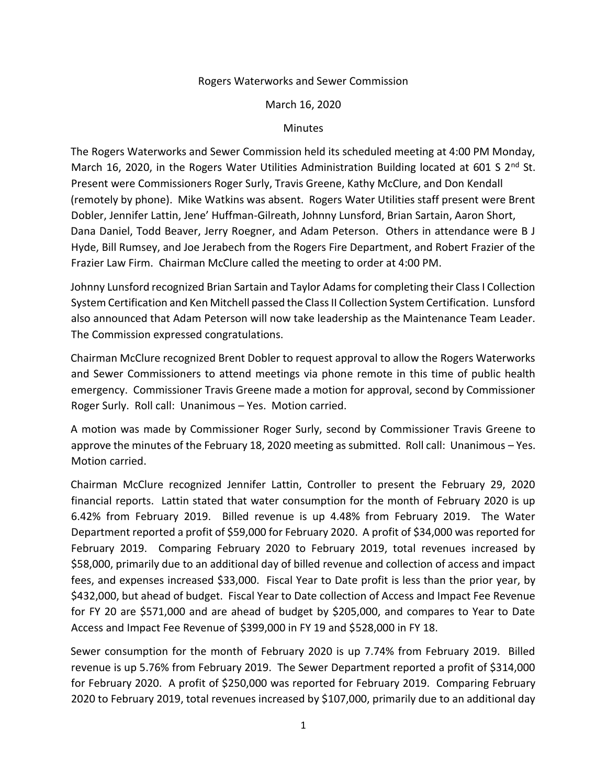## Rogers Waterworks and Sewer Commission

## March 16, 2020

## Minutes

The Rogers Waterworks and Sewer Commission held its scheduled meeting at 4:00 PM Monday, March 16, 2020, in the Rogers Water Utilities Administration Building located at 601 S  $2^{nd}$  St. Present were Commissioners Roger Surly, Travis Greene, Kathy McClure, and Don Kendall (remotely by phone). Mike Watkins was absent. Rogers Water Utilities staff present were Brent Dobler, Jennifer Lattin, Jene' Huffman-Gilreath, Johnny Lunsford, Brian Sartain, Aaron Short, Dana Daniel, Todd Beaver, Jerry Roegner, and Adam Peterson. Others in attendance were B J Hyde, Bill Rumsey, and Joe Jerabech from the Rogers Fire Department, and Robert Frazier of the Frazier Law Firm. Chairman McClure called the meeting to order at 4:00 PM.

Johnny Lunsford recognized Brian Sartain and Taylor Adams for completing their Class I Collection System Certification and Ken Mitchell passed the Class II Collection System Certification. Lunsford also announced that Adam Peterson will now take leadership as the Maintenance Team Leader. The Commission expressed congratulations.

Chairman McClure recognized Brent Dobler to request approval to allow the Rogers Waterworks and Sewer Commissioners to attend meetings via phone remote in this time of public health emergency. Commissioner Travis Greene made a motion for approval, second by Commissioner Roger Surly. Roll call: Unanimous – Yes. Motion carried.

A motion was made by Commissioner Roger Surly, second by Commissioner Travis Greene to approve the minutes of the February 18, 2020 meeting as submitted. Roll call: Unanimous – Yes. Motion carried.

Chairman McClure recognized Jennifer Lattin, Controller to present the February 29, 2020 financial reports. Lattin stated that water consumption for the month of February 2020 is up 6.42% from February 2019. Billed revenue is up 4.48% from February 2019. The Water Department reported a profit of \$59,000 for February 2020. A profit of \$34,000 was reported for February 2019. Comparing February 2020 to February 2019, total revenues increased by \$58,000, primarily due to an additional day of billed revenue and collection of access and impact fees, and expenses increased \$33,000. Fiscal Year to Date profit is less than the prior year, by \$432,000, but ahead of budget. Fiscal Year to Date collection of Access and Impact Fee Revenue for FY 20 are \$571,000 and are ahead of budget by \$205,000, and compares to Year to Date Access and Impact Fee Revenue of \$399,000 in FY 19 and \$528,000 in FY 18.

Sewer consumption for the month of February 2020 is up 7.74% from February 2019. Billed revenue is up 5.76% from February 2019. The Sewer Department reported a profit of \$314,000 for February 2020. A profit of \$250,000 was reported for February 2019. Comparing February 2020 to February 2019, total revenues increased by \$107,000, primarily due to an additional day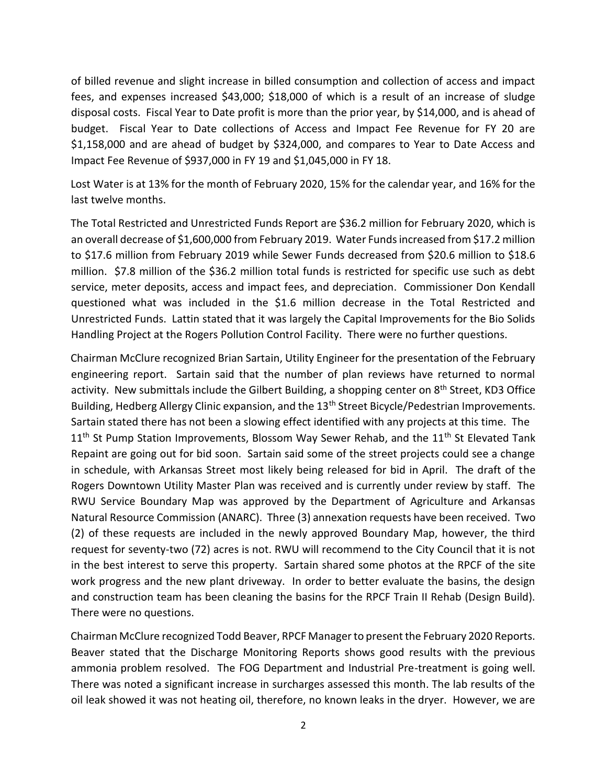of billed revenue and slight increase in billed consumption and collection of access and impact fees, and expenses increased \$43,000; \$18,000 of which is a result of an increase of sludge disposal costs. Fiscal Year to Date profit is more than the prior year, by \$14,000, and is ahead of budget. Fiscal Year to Date collections of Access and Impact Fee Revenue for FY 20 are \$1,158,000 and are ahead of budget by \$324,000, and compares to Year to Date Access and Impact Fee Revenue of \$937,000 in FY 19 and \$1,045,000 in FY 18.

Lost Water is at 13% for the month of February 2020, 15% for the calendar year, and 16% for the last twelve months.

The Total Restricted and Unrestricted Funds Report are \$36.2 million for February 2020, which is an overall decrease of \$1,600,000 from February 2019. Water Funds increased from \$17.2 million to \$17.6 million from February 2019 while Sewer Funds decreased from \$20.6 million to \$18.6 million. \$7.8 million of the \$36.2 million total funds is restricted for specific use such as debt service, meter deposits, access and impact fees, and depreciation. Commissioner Don Kendall questioned what was included in the \$1.6 million decrease in the Total Restricted and Unrestricted Funds. Lattin stated that it was largely the Capital Improvements for the Bio Solids Handling Project at the Rogers Pollution Control Facility. There were no further questions.

Chairman McClure recognized Brian Sartain, Utility Engineer for the presentation of the February engineering report. Sartain said that the number of plan reviews have returned to normal activity. New submittals include the Gilbert Building, a shopping center on 8<sup>th</sup> Street, KD3 Office Building, Hedberg Allergy Clinic expansion, and the 13<sup>th</sup> Street Bicycle/Pedestrian Improvements. Sartain stated there has not been a slowing effect identified with any projects at this time. The 11<sup>th</sup> St Pump Station Improvements, Blossom Way Sewer Rehab, and the 11<sup>th</sup> St Elevated Tank Repaint are going out for bid soon. Sartain said some of the street projects could see a change in schedule, with Arkansas Street most likely being released for bid in April. The draft of the Rogers Downtown Utility Master Plan was received and is currently under review by staff. The RWU Service Boundary Map was approved by the Department of Agriculture and Arkansas Natural Resource Commission (ANARC). Three (3) annexation requests have been received. Two (2) of these requests are included in the newly approved Boundary Map, however, the third request for seventy-two (72) acres is not. RWU will recommend to the City Council that it is not in the best interest to serve this property. Sartain shared some photos at the RPCF of the site work progress and the new plant driveway. In order to better evaluate the basins, the design and construction team has been cleaning the basins for the RPCF Train II Rehab (Design Build). There were no questions.

Chairman McClure recognized Todd Beaver, RPCF Manager to present the February 2020 Reports. Beaver stated that the Discharge Monitoring Reports shows good results with the previous ammonia problem resolved. The FOG Department and Industrial Pre-treatment is going well. There was noted a significant increase in surcharges assessed this month. The lab results of the oil leak showed it was not heating oil, therefore, no known leaks in the dryer. However, we are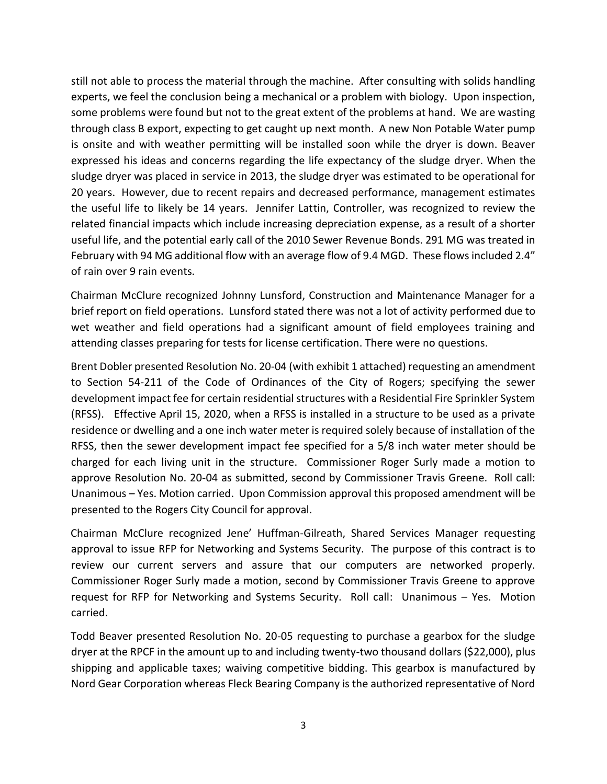still not able to process the material through the machine. After consulting with solids handling experts, we feel the conclusion being a mechanical or a problem with biology. Upon inspection, some problems were found but not to the great extent of the problems at hand. We are wasting through class B export, expecting to get caught up next month. A new Non Potable Water pump is onsite and with weather permitting will be installed soon while the dryer is down. Beaver expressed his ideas and concerns regarding the life expectancy of the sludge dryer. When the sludge dryer was placed in service in 2013, the sludge dryer was estimated to be operational for 20 years. However, due to recent repairs and decreased performance, management estimates the useful life to likely be 14 years. Jennifer Lattin, Controller, was recognized to review the related financial impacts which include increasing depreciation expense, as a result of a shorter useful life, and the potential early call of the 2010 Sewer Revenue Bonds. 291 MG was treated in February with 94 MG additional flow with an average flow of 9.4 MGD. These flows included 2.4" of rain over 9 rain events.

Chairman McClure recognized Johnny Lunsford, Construction and Maintenance Manager for a brief report on field operations. Lunsford stated there was not a lot of activity performed due to wet weather and field operations had a significant amount of field employees training and attending classes preparing for tests for license certification. There were no questions.

Brent Dobler presented Resolution No. 20-04 (with exhibit 1 attached) requesting an amendment to Section 54-211 of the Code of Ordinances of the City of Rogers; specifying the sewer development impact fee for certain residential structures with a Residential Fire Sprinkler System (RFSS). Effective April 15, 2020, when a RFSS is installed in a structure to be used as a private residence or dwelling and a one inch water meter is required solely because of installation of the RFSS, then the sewer development impact fee specified for a 5/8 inch water meter should be charged for each living unit in the structure. Commissioner Roger Surly made a motion to approve Resolution No. 20-04 as submitted, second by Commissioner Travis Greene. Roll call: Unanimous – Yes. Motion carried. Upon Commission approval this proposed amendment will be presented to the Rogers City Council for approval.

Chairman McClure recognized Jene' Huffman-Gilreath, Shared Services Manager requesting approval to issue RFP for Networking and Systems Security. The purpose of this contract is to review our current servers and assure that our computers are networked properly. Commissioner Roger Surly made a motion, second by Commissioner Travis Greene to approve request for RFP for Networking and Systems Security. Roll call: Unanimous – Yes. Motion carried.

Todd Beaver presented Resolution No. 20-05 requesting to purchase a gearbox for the sludge dryer at the RPCF in the amount up to and including twenty-two thousand dollars (\$22,000), plus shipping and applicable taxes; waiving competitive bidding. This gearbox is manufactured by Nord Gear Corporation whereas Fleck Bearing Company is the authorized representative of Nord